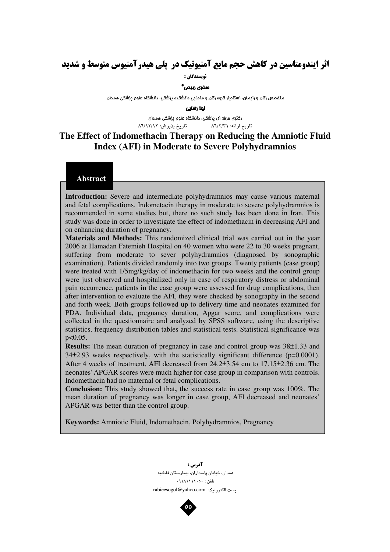# **اثر ایندومتاسین در کاهش حجم مایع آمنیوتیک در پلی هیدرآمنیوس متوسط و شدید**

**نه يسندگان :** 

#### منغرى ربيعى\*

متفصص زنان و زایمان، استادیار گروه زنان و مامایی دانشکده پزشکی، دانشگاه علوم پزشکی همدان

ليلا رضايى

دکتری مرفه ای پزشکی، دانشگاه علوم پزشکی همدان : ۸٦/٢/٣١ تاريخ پذيرش: ٨٦/١٢/١٢ تاريخ ارائه:

## The Effect of Indomethacin Therapy on Reducing the Amniotic Fluid Index (AFI) in Moderate to Severe Polyhydramnios

### Abstract

Introduction: Severe and intermediate polyhydramnios may cause various maternal and fetal complications. Indometacin therapy in moderate to severe polyhydramnios is recommended in some studies but, there no such study has been done in Iran. This study was done in order to investigate the effect of indomethacin in decreasing AFI and on enhancing duration of pregnancy.

Materials and Methods: This randomized clinical trial was carried out in the year 2006 at Hamadan Fatemieh Hospital on 40 women who were 22 to 30 weeks pregnant, suffering from moderate to sever polyhydramnios (diagnosed by sonographic examination). Patients divided randomly into two groups. Twenty patients (case group) were treated with 1/5mg/kg/day of indomethacin for two weeks and the control group were just observed and hospitalized only in case of respiratory distress or abdominal pain occurrence. patients in the case group were assessed for drug complications, then after intervention to evaluate the AFI, they were checked by sonography in the second and forth week. Both groups followed up to delivery time and neonates examined for PDA. Individual data, pregnancy duration, Apgar score, and complications were collected in the questionnaire and analyzed by SPSS software, using the descriptive statistics, frequency distribution tables and statistical tests. Statistical significance was  $p < 0.05$ .

Results: The mean duration of pregnancy in case and control group was 38±1.33 and  $34\pm2.93$  weeks respectively, with the statistically significant difference ( $p=0.0001$ ). After 4 weeks of treatment, AFI decreased from 24.2±3.54 cm to 17.15±2.36 cm. The neonates' APGAR scores were much higher for case group in comparison with controls. Indomethacin had no maternal or fetal complications.

Conclusion: This study showed that, the success rate in case group was 100%. The mean duration of pregnancy was longer in case group, AFI decreased and neonates' APGAR was better than the control group.

Keywords: Amniotic Fluid, Indomethacin, Polyhydramnios, Pregnancy

آدرس : همدان، خيابان پاسداران، بيمارستان فاطميه تلفن : ٠٩١٨١١١١١٠٥٠ پست الکترونیک: rabieesogol@yahoo.com

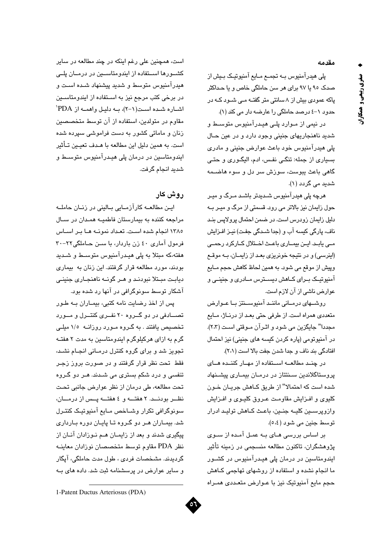مقدمه

يلي هيدرآمنيوس بــه تجمــع مــايع آمنيوتيــک بـيش از صدک ۹۵ با ۹۷ برای هر سن حاملگی خاص و با حـداکثر یاکه عمودی بیش از ۸ سانتی متر گفتـه مـی شـود کـه در حدود ١-٤ درصد حاملگی را عارضه دار می کند (١).

در نیمی از مـوارد پلـی هیـدرآمنیوس متوسـط و شديد ناهنجاريهاي جنيني وجود دارد و در عين حـال يلي هيدرآمنيوس خود باعث عوارض جنيني و مادري بسیاری از جمله: تنگی نفس، ادم، الیگـوری و حتـی گاهی باعث پبوست، سوزش سر دل و سوء هاضـمه شدید مے گردد (۱).

هرچه پلی هیدرآمنیوس شـدیدتر باشـد مـرگ و میـر حول زایمان نیز بالاتر می رود. قسمتی از مرگ و میـر بـه دلیل زایمان زودرس است. در ضمن احتمال پرولایس بنـد ناف، پارگی کسه آب و (جدا شـدگی جفـت) نیـز افـزایش مے یابد. ایـن بیمــاری باعـث اخــتلال کــارکرد رحمــی (اینرسی) و در نتیجه خونریزی بعد از زایمـان، بـه موقـع وپیش از موقع می شود. به همین لحاظ کاهش حجم مـایع آمنيونيــک بــرای کــاهش ديســـترس مــادری و جنينــی و عوارض ناشي از آن لازم است.

روشهای درمانی مانند آمنیوستتز با عوارض متعددی همراه است. از طرفی حتی بعـد از درنــاژ، مــایع مجددا" جايگزين مي شود و اثـرآن مـوقتي اسـت (٢،٣). در آمنیوتومی (پاره کردن کیسه های جنینی) نیز احتمال افتادگی بند ناف و جدا شدن جفت بالا است (٢،١).

در چند مطالعــه اســتفاده از مهــار کننــده هــای پروستاگلاندین سـنتتاز در درمـان بیمـاری پیشـنهاد شده است که احتمالا" از طریق کـاهش جریـان خـون كليوى و افـزايش مقاومـت عـروق كليـوى و افـزاىش وازويرســين كليــه جنـين، باعـث كــاهش توليـد ادرار توسط جنين مي شود (٤،٥).

بر اساس بررسی هـای بـه عمـل آمـده از سـوی یژوهشگران، تاکنون مطالعه منسجمی در زمینه تأثیر ایندومتاسین در درمان پلی هیـدرآمنیوس در کشـور ما انجام نشده و استفاده از روشهای تهاجمی کـاهش حجم مايع آمنيوتيک نيز با عـوارض متعـددي همـراه

است، همچنین علی رغم اینکه در چند مطالعه در سایر کشــورها اســتفاده از ایندومتاســین در درمــان پلــی هیدرآمنیوس متوسط و شدید پیشنهاد شـده اسـت و در برخی کتب مرجع نیز به استفاده از ایندومتاسـین اشاره شده است(١-٢)، به دليل واهمه از PDA' مقاوم در متولدین، استفاده از آن توسط متخصصین زنان و مامائی کشور به دست فراموشی سپرده شده است. به همین دلیل این مطالعه با هـدف تعیـین تــأثیر ایندومتاسین در درمان پلی هیـدرآمنیوس متوسـط و شديد انجام گرفت.

روش کار

ايـن مطالعــه كارآزمــايى بــالينى در زنــان حاملــه مراجعه کننده به بیمارستان فاطمیـه همـدان در سـال ١٣٨٥ انجام شده است. تعداد نمونـه هـا بـر اسـاس فرمول آماری ٤٠ زن باردار، با سـن حـاملگی٢٢-٣٠ هفته،که مبتلا به پلی هیـدرآمنیوس متوسـط و شـدید بودند، مورد مطالعه قرار گرفتند. این زنان به بیماری ديابت مبتلا نبودند و هـر گونـه ناهنجـاري جنينـي آشکار توسط سونوگرافی در آنها رد شده بود.

پس از اخذ رضایت نامه کتبی، بیمـاران بـه طـور تصــادفی در دو گــروه ۲۰ نفــری کنتــرل و مــورد تخصیص یافتند . به گـروه مـورد روزانــه ۱/۵ میلـی گرم به ازای هرکیلوگرم ایندومتاسین به مدت ۲ هفتـه تجویز شد و برای گروه کنترل درمـانی انجـام نشـد، فقط تحت نظر قرار گرفتند و در صورت بروز زجـر تنفسی و درد شکم بستری می شـدند. هـر دو گـروه تحت مطالعه، طی درمان از نظر عوارض جانبی تحت نظـر بودنــد. ٢ هفتــه و ٤ هفتــه يــس از درمــان، سونوگرافي تكرار وشاخص مايع آمنيوتيك كنتـرل شد. بیمـاران هـر دو گـروه تـا پایـان دوره بـارداری پیگیری شدند و بعد از زایمـان هـم نـوزادان آنـان از نظر PDA مقاوم توسط متخصصان نوزادان معاينيه گردیدند. مشخصات فردی ، طول مدت حاملگی، آپگار و سایر عوارض در پرسشنامه ثبت شد. داده های بـه



صغري ربيعي و همكاران

<sup>1-</sup>Patent Ductus Arteriosus (PDA)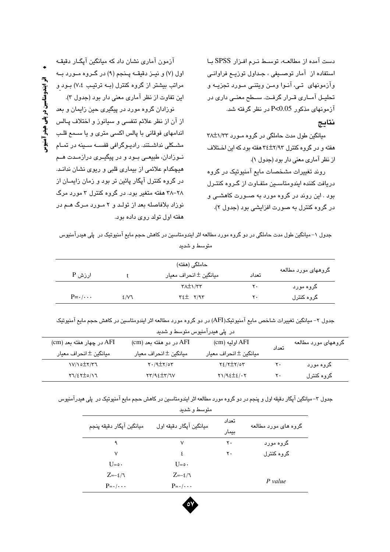دست آمده از مطالعه، توسط نرم افزار SPSS با استفاده از آمار توصیفی ، جداول توزیع فراوانی وآزمونهای تے، آنـوا ومـن ویتنـی مـورد تجزیـه و تحلیـل آمــاری قــرار گرفـت. ســطح معنــی داری در آزمونهای مذکور P<0.05 در نظر گرفته شد.

### نتايج

میانگین طول مدت حاملگی در گروه مـورد ۳۸±۱/۳۲ هفته و در گروه کنترل ۲/۹۳±۳۶ هفته بود که این اختلاف از نظر آماری معنی دار بود (جدول ۱).

روند تغییرات مشخصات مایع آمنیوتیک در گروه دریافت کننده ایندومتاسین متفاوت از گروه کنترل بود . این روند در گروه مورد به صـورت کاهشـی و در گروه کنترل به صورت افزایشی بود (جدول ۲).

آزمون آماری نشان داد که میانگین آپگـار دقیقـه اول (۷) و نيــز دقيقـــه پــنجم (۹) در گــروه مــورد بــه مراتب بیشتر از گروه کنترل (بـه ترتیـب ٧،٤) بـود و این تفاوت از نظر آماری معنی دار بود (جدول ۳).

نوزادان گروه مورد در پیگیری حین زایمان و بعد از آن از نظر علائم تنفسی و سیانوز و اختلاف پـالس اندامهای فوقانی با پالس اکسی متری و یا سـمع قلـب مشــکلی نداشــتند. رادیــوگرافی قفســه ســینه در تمــام نــوزادان، طبیعــی بــود و در پیگیــری درازمــدت هــم هیچکدام علائمی از بیماری قلبی و ریوی نشان ندانـد. در گروه کنترل آپگار پائین تر بود و زمان زایمـان از ۲۸–۳۸ هفته متغیر بود. در گروه کنترل ۳ مورد مرگ نوزاد بلافاصله بعد از تولـد و ۲ مـورد مـرگ هـم در هفته اول تولد روی داده بود.

جدول ١–ميانگين طول مدت حاملگي در دو گروه مورد مطالعه اثر ايندومتاسين در كاهش حجم مايع آمنيوتيک در پلي هيدرآمنيوس متوسط و شدید

| ارزش P                    |     | میانگین ± انحراف معیار         | تعداد | گروههای مورد مطالعه |
|---------------------------|-----|--------------------------------|-------|---------------------|
|                           |     | $\tau \lambda \pm 1/\tau \tau$ | ٢٠    | گروه مورد           |
| $P = \cdot / \cdot \cdot$ | 2/V | $Y \xi \pm Y/97$               | ۲.    | گروه کنترل          |

جدول ۲– میانگین تغییرات شاخص مایع آمنیوتیک(AFI) در دو گروه مورد مطالعه اثر ایندومتاسین در کاهش حجم مایع آمنیوتیک

در پلے هیدرآمنیوس متوسط و شدید

| cm) در چهار هفته بعد (Cm                   | Cm) در دو هفته بعد (Cm    | (cm) اوليه               | تعداد | گروههای مورد مطالعه |
|--------------------------------------------|---------------------------|--------------------------|-------|---------------------|
| ميانگين ± انحراف معيار                     | ميانگين ± انحراف معيار    | ميانگين ± انحراف معيار   |       |                     |
| $V/\Omega t$                               | $Y \cdot / 9 \pm Y / 0 Y$ | $Y2/Y \pm Y/\circ Y$     | ۲۰    | گروه مورد           |
| $\tau\gamma/\epsilon\tau \pm o/\gamma\tau$ | $\tau\tau/9.5\pm\tau/7V$  | $\gamma$ 1/92 $\pm$ 2/.7 | ۲۰    | گروہ کنترل          |

جدول ۳– میانگین آیگار دقیقه اول و پنجم در دو گروه مورد مطالعه اثر ایندومتاسین در کاهش حجم مایع آمنبوتیک در پلی هیدرآمنیوس

| متوسيط واشتديد            |                           |                |                      |  |  |  |
|---------------------------|---------------------------|----------------|----------------------|--|--|--|
| ميانگين آپگار دقيقه پنجم  | ميانگين آپگار دقيقه اول   | تعداد<br>بیمار | گروه های مورد مطالعه |  |  |  |
| ٩                         | ٧                         | ۲۰             | گروه مورد            |  |  |  |
| v                         | ٤                         | ٢٠             | گروه کنترل           |  |  |  |
| $U = \circ$ ۰             | $U = \circ$ ۰             |                |                      |  |  |  |
| $Z=-\epsilon/\tau$        | $Z=-\epsilon/\tau$        |                | P value              |  |  |  |
| $P = \cdot / \cdot \cdot$ | $P = \cdot / \cdot \cdot$ |                |                      |  |  |  |

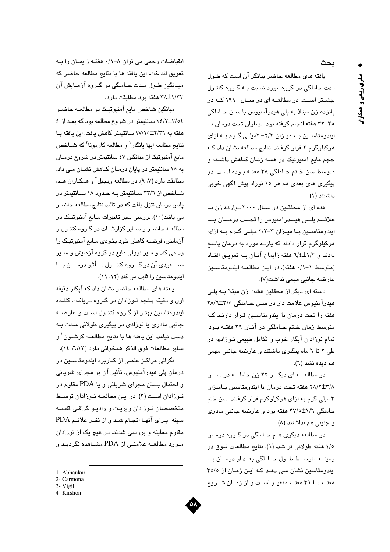ىحث

یافته های مطالعه حاضر بیانگر آن است که طول مدت حاملگی در گروه مورد نسبت بـه گـروه کنتـرل بیشتر است. در مطالعــه ای در ســال ۱۹۹۰ کــه در پانزده زن مبتلا به پلی هیدرآمنیوس با سـن حـاملگی ٢٥-٣٢ هفته انجام گرفته بود، بيماران تحت درمان با ایندومتاسین به میزان ٢/٢- ٢میلی گرم به ازای هرکیلوگرم ۲ قرار گرفتند. نتایج مطالعه نشان داد کـه حجم مايع آمنيوتيک در همـه زنـان کـاهش داشـته و متوسط سن ختم حـاملگی ۳۸ هفتـه بـوده اسـت. در پیگیری های بعدی هم هر ۱۰ نوزاد پیش آگهی خوبی داشتند (١).

عده ای از محققـین در سـال ۲۰۰۰ دوازده زن بـا علائـــم پلـــى هيـــدرآمنيوس را تحـــت درمـــان بـــا ایندومتاسین با میزان ۳-۲/۲ میلی گرم به ازای هرکیلوگرم قرار دادند که یازده مورد به درمان پاسخ دادند و ٦/٤±١/٣ هفته زايمان آنان به تعويـق افتـاد (متوسط ٠/١-١ هفته). در اين مطالعـه ايندومتاسـين عارضه جانبي مهمي نداشت(٧).

دسته ای دیگر از محققین هشت زن مبتلا بــه پلــی هندرآمنبوس علامت دار در سین حیاملگی ۲۸/٦±۲۸/۲ هفته را تحت درمان با ایندومتاسـین قـرار دارنـد کـه متوسط زمان ختم حـاملگی در آنـان ۳۹ هفتـه بـود. تمام نوزادان آپگار خوب و تکامل طبیعی نــوزادی در طی ۲ تا ٦ ماه پیگیری داشتند و عارضه جانبی مهمی هم ديده نشد (٦).

در مطالعـــه ای دیگـــر ۲۲ زن حاملـــه در ســـن ٢٨/٢±٢/٨ هفته تحت درمان با ايندومتاسين باميزان ۳ میلی گرم به ازای هرکیلوگرم قرار گرفتند. سن ختم حاملگی ٢٧/٥±٢٧/٥ هفته بود و عارضه جانبی مادری و جنيني هم نداشتند (٨).

در مطالعه دیگری هـم حــاملگی در گــروه درمــان ١/٥ هفته طولاني تر شد. (٩). نتايج مطالعات فـوق در زمینه متوسط طول حاملگی بعد از درمان با ایندومتاسین نشان مے دھد کے اپن زمان از ٣٥/٥ هفتــه تــا ٣٩ هفتــه متغيــر اســت و از زمــان شــروع

انقباضات رحمی می توان ۸–۰/۱ هفته زایمان را به تعويق انداخت. اين يافته ها با نتايج مطالعه حاضر كه ميـانگين طـول مـدت حـاملگي در گـروه آزمـايش آن ۳۸±۱/۳۳ هفته بور مطابقت دارد.

میانگین شاخص مایع آمنیوتیک در مطالعــه حاضــر ٢٤/٢±٢/٥٤ سانتيمتر در شروع مطالعه بود كه بعد از ٤ هفته به ٢/٣٦±١٧/١٥ سانتيمتر كاهش يافت. اين يافته با نتايج مطالعه ابها يانگار` و مطالعه كارمونا<sup>۲</sup> كه شــاخص مایع آمنیوتیک از میانگین ٤٧ سانتیمتر در شروع درمـان به ١٥ سانتيمتر در پايان درمـان كـاهش نشـان مـى داد، مطابقت دارد (۷، ۹). در مطالعه ويجيل<sup>٢</sup> و همكـاران هـم، شباخص از ۳۳/۱ سبانتیمتر به حدود ۱۸ سبانتیمتر در پایان درمان تنزل یافت که در تائید نتایج مطالعه حاضـر می باشد(۱۰). بررسی سیر تغییرات مـایع آمنیوتیـک در مطالعــه حاضــر و ســایر گزارشــات در گـروه کنتـرل و آزمايش، فرضيه كاهش خود بخودي مـايع آمنيوتيـک را رد می کند و سیر نزولی مایع در گروه آزمایش و سـیر صـــعودي آن در گـــروه كنتـــرل تـــأثير درمـــان بـــا ایندومتاسین را ثابت می کند (٥٢، ١١).

یافته های مطالعه حاضر نشان داد که آیگار دقیقه اول و دقيقه پـنجم نــوزادان در گــروه دريافـت كننـده ایندومتاسین بهتـر از گـروه کنتـرل اسـت و عارضــه جانبی مادری یا نوزادی در پیگیری طولانی مـدت بـه دست نيامد. اين يافته ها با نتايج مطالعــه كرشــون ٔ و ساير مطالعات فوق الذكر همخواني دارد (٦،١٢، ١٤).

نگرانی مراکـز علمـی از کـاربرد ایندومتاسـین در درمان پلی هیدرآمنیوس، تأثیر آن بر مجرای شریانی و احتمال بستن مجرای شریانی و یا PDA مقاوم در نوزادان است (٣). در اين مطالعه نوزادان توسط متخصصان نـوزادان ویزیـت و رادیـو گرافـی قفســه سينه براي آنها انجام شد و از نظر علائم PDA مقاوم معاینه و بررسی شدند. در هیچ یک از نوزادان مورد مطالعــه علامتــي از PDA مشــاهده نگرديــد و



<sup>1-</sup> Abhankar

<sup>2-</sup> Carmona

<sup>3-</sup> Vigil

<sup>4-</sup> Kirshon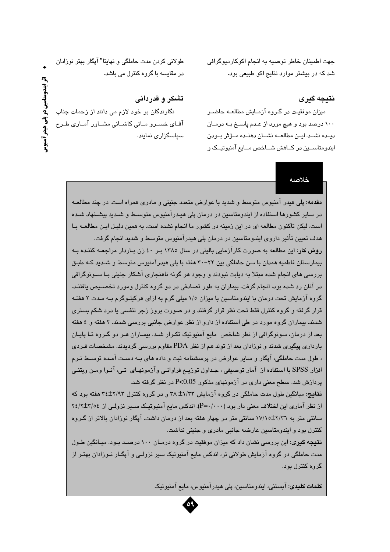جهت اطمينان خاطر توصيه به انجام اکوکارديوگرافي شد که در بیشتر موارد نتایج اکو طبیعی بود.

#### نتىچە گېرى

میزان موفقیت در گـروه آزمـایش مطالعـه حاضـر ۱۰۰ درصد بود و هیچ مورد از عـدم پاسـخ بـه درمـان ديـده نشـد. ايــن مطالعــه نشــان دهنــده مــؤثر بــودن ایندومتاســین در کــاهش شــاخص مــایع آمنیوتیــک و

خلاصه

طولانی کردن مدت حاملگی و نهایتا" آپگار بهتر نوزادان در مقایسه با گروه کنترل می باشد.

تشکر و قدردانی

نگارندگان بر خود لازم می دانند از زحمات جناب آقـای خســرو مــانی کاشــانی مشــاور آمــاری طــرح سیاسگزاری نمایند.

> مقدمه: پلی هیدر آمنیوس متوسط و شدید با عوارض متعدد جنینی و مادری همراه است. در چند مطالعــه در سایر کشورها استفاده از ایندومتاسین در درمان پلی هیـدرآمنیوس متوســط و شــدید پیشــنهاد شــده است، لیکن تاکنون مطالعه ای در این زمینه در کشور ما انجام نشده است. به همین دلیـل ایـن مطالعــه بــا هدف تعیین تأثیر داروی ایندومتاسین در درمان پلی هیدرآمنیوس متوسط و شدید انجام گرفت. روش کار: این مطالعه به صورت کارآزمایی بالینی در سال ۱۳۸۰ بـر ٤٠ زن بـاردار مراجعــه کننـده بــه پیمارستان فاطمیه همدان یا سن حاملگی بین ۲۲-۳۰ هفته یا پلی هیدر آمنیوس متوسط و شیدید کیه طبیق بررسی های انجام شده مبتلا به دیابت نبودند و وجود هر گونه ناهنجاری آشکار جنینی بـا ســونوگرافی در آنان رد شده بود، انجام گرفت. بیماران به طور تصادفی در دو گروه کنترل ومورد تخصییص بافتند. گروه آزمایش تحت درمان با ایندومتاسین با میزان ۱/۰ میلی گرم به ازای هرکیلـوگرم بـه مـدت ۲ هفتـه قرار گرفته و گروه کنترل فقط تحت نظر قرار گرفتند و در صورت بروز زجر تنف*سی* یا درد شکم بستر*ی* شدند. بیماران گروه مورد در طی استفاده از دارو از نظر عوارض جانبی بررسی شدند. ۲ هفته و ٤ هفته بعد از درمان، سونوگرافی از نظر شاخص ًمایع آمنیوتیک تکـرار شـد. بیمـاران هـر دو گـروه تـا پایـان بارداری پیگیری شدند و نوزادان بعد از تولد هم از نظر PDA مقاوم بررسی گردیدند. مشخصات فـردی ، طول مدت حاملگی، آپگار و سایر عوارض در پرسشنامه ثبت و داده های بــه دسـت آمـده توســط نـرم افزار SPSS با استفاده از آمار توصیفی ، جـداول توزیــم فراوانــی وآزمونهـای تــی، آنــوا ومــن ویتنــی پردازش شد. سطح معنی داری در آزمونهای مذکور P<0.05 در نظر گرفته شد.

> نقایج: میانگین طول مدت حاملگی در گروه آزمایش ۳/۳۳ و پر گروه کنترل ۲/۹۳±۳۶ هفته بود که از نظر آماری این اختلاف معنی دار بود (P=۰/۰۰۰). اندکس مایع آمنیوتیک سـیر نزولـی از ۲٤/۲±۲/۰٤ سانتی متر به ۲/۳۲±۱۷/۱۰ سانتی متر در چهار هفته بعد از درمان داشت. آیگار نوزادان بالاتر از گـروه کنترل بود و ایندومتاسین عارضه جانبی مادری و جنینی نداشت.

> **نتیجه گیر**ی: این بررسے شان داد که میزان موفقت در گروہ درمیان ۱۰۰ درصید پویہ میانگین طول مدت حاملگی در گروه آزمایش طولانی تر، اندکس مایع آمنیوتیک سیر نزولـی و آپگــار نــوزادان بهتـر از گروه کنترل بود.

> > کلمات کلیدی: آبستنی، ایندومتاسین، پلی هیدرآمنیوس، مایع آمنیوتیک